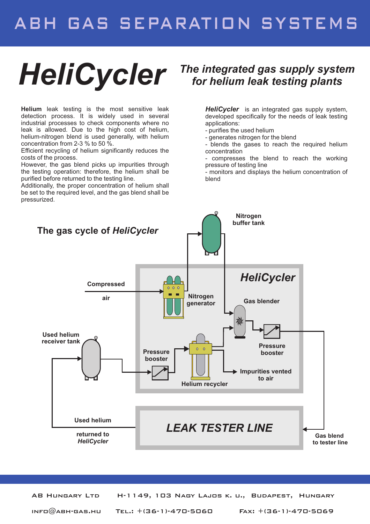## ABH GAS SEPARATION SYSTEMS

# *HeliCycler The integrated gas supply system for helium leak testing plants*

**Helium** leak testing is the most sensitive leak detection process. It is widely used in several industrial processes to check components where no leak is allowed. Due to the high cost of helium, helium-nitrogen blend is used generally, with helium concentration from 2-3 % to 50 %.

Efficient recycling of helium significantly reduces the costs of the process.

However, the gas blend picks up impurities through the testing operation: therefore, the helium shall be purified before returned to the testing line.

Additionally, the proper concentration of helium shall be set to the required level, and the gas blend shall be pressurized.

*HeliCycler* is an integrated gas supply system, developed specifically for the needs of leak testing applications:

- purifies the used helium
- generates nitrogen for the blend

- blends the gases to reach the required helium concentration

- compresses the blend to reach the working pressure of testing line

- monitors and displays the helium concentration of blend



AB Hungary Ltd H-1149, 103 Nagy Lajos k. u., Budapest, Hungary  $INFD@ABH-GAS.HU$  TEL.:  $+(36-1)-47D-5D6D$  Fax:  $+(36-1)-47D-5D69$